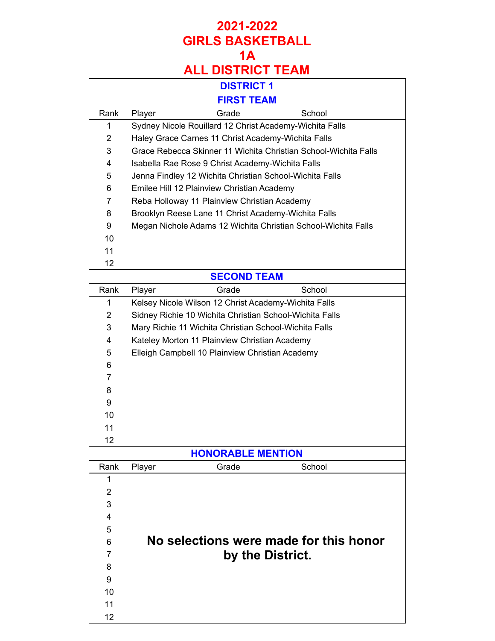|                | <b>DISTRICT 1</b>                                               |
|----------------|-----------------------------------------------------------------|
|                | <b>FIRST TEAM</b>                                               |
| Rank           | Grade<br>School<br>Player                                       |
| 1              | Sydney Nicole Rouillard 12 Christ Academy-Wichita Falls         |
| $\overline{2}$ | Haley Grace Carnes 11 Christ Academy-Wichita Falls              |
| 3              | Grace Rebecca Skinner 11 Wichita Christian School-Wichita Falls |
| 4              | Isabella Rae Rose 9 Christ Academy-Wichita Falls                |
| 5              | Jenna Findley 12 Wichita Christian School-Wichita Falls         |
| 6              | Emilee Hill 12 Plainview Christian Academy                      |
| $\overline{7}$ | Reba Holloway 11 Plainview Christian Academy                    |
| 8              | Brooklyn Reese Lane 11 Christ Academy-Wichita Falls             |
| 9              | Megan Nichole Adams 12 Wichita Christian School-Wichita Falls   |
| 10             |                                                                 |
| 11             |                                                                 |
| 12             |                                                                 |
|                | <b>SECOND TEAM</b>                                              |
| Rank           | Grade<br>School<br>Player                                       |
| 1              | Kelsey Nicole Wilson 12 Christ Academy-Wichita Falls            |
| 2              | Sidney Richie 10 Wichita Christian School-Wichita Falls         |
| 3              | Mary Richie 11 Wichita Christian School-Wichita Falls           |
| 4              | Kateley Morton 11 Plainview Christian Academy                   |
| 5              | Elleigh Campbell 10 Plainview Christian Academy                 |
| 6              |                                                                 |
| 7              |                                                                 |
| 8              |                                                                 |
| 9              |                                                                 |
| 10             |                                                                 |
| 11             |                                                                 |
| 12             |                                                                 |
|                | <b>HONORABLE MENTION</b>                                        |
| Rank           | School<br>Grade<br>Player                                       |
| 1              |                                                                 |
| $\overline{2}$ |                                                                 |
| 3              |                                                                 |
| 4              |                                                                 |
| 5              |                                                                 |
| 6              | No selections were made for this honor                          |
| 7              | by the District.                                                |
| 8              |                                                                 |
| 9              |                                                                 |
| 10             |                                                                 |
| 11             |                                                                 |
| 12             |                                                                 |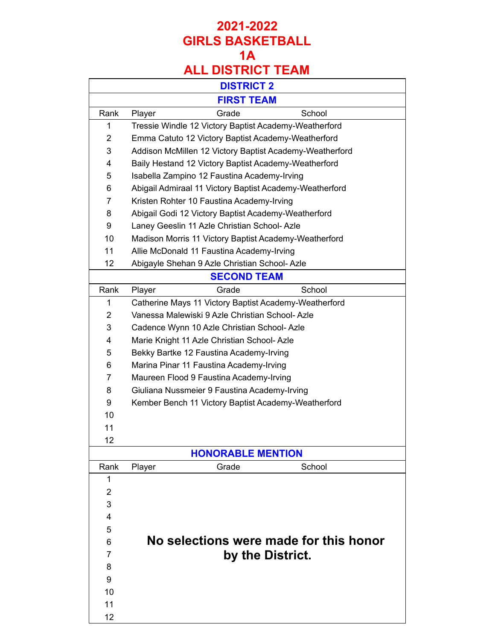|                | <b>DISTRICT 2</b>                                       |
|----------------|---------------------------------------------------------|
|                | <b>FIRST TEAM</b>                                       |
| Rank           | Grade<br>School<br>Player                               |
| 1              | Tressie Windle 12 Victory Baptist Academy-Weatherford   |
| $\overline{2}$ | Emma Catuto 12 Victory Baptist Academy-Weatherford      |
| 3              | Addison McMillen 12 Victory Baptist Academy-Weatherford |
| 4              | Baily Hestand 12 Victory Baptist Academy-Weatherford    |
| 5              | Isabella Zampino 12 Faustina Academy-Irving             |
| 6              | Abigail Admiraal 11 Victory Baptist Academy-Weatherford |
| $\overline{7}$ | Kristen Rohter 10 Faustina Academy-Irving               |
| 8              | Abigail Godi 12 Victory Baptist Academy-Weatherford     |
| 9              | Laney Geeslin 11 Azle Christian School-Azle             |
| 10             | Madison Morris 11 Victory Baptist Academy-Weatherford   |
| 11             | Allie McDonald 11 Faustina Academy-Irving               |
| 12             | Abigayle Shehan 9 Azle Christian School-Azle            |
|                | <b>SECOND TEAM</b>                                      |
| Rank           | School<br>Player<br>Grade                               |
| 1              | Catherine Mays 11 Victory Baptist Academy-Weatherford   |
| $\overline{2}$ | Vanessa Malewiski 9 Azle Christian School-Azle          |
| 3              | Cadence Wynn 10 Azle Christian School-Azle              |
| 4              | Marie Knight 11 Azle Christian School-Azle              |
| 5              | Bekky Bartke 12 Faustina Academy-Irving                 |
| 6              | Marina Pinar 11 Faustina Academy-Irving                 |
| 7              | Maureen Flood 9 Faustina Academy-Irving                 |
| 8              | Giuliana Nussmeier 9 Faustina Academy-Irving            |
| 9              | Kember Bench 11 Victory Baptist Academy-Weatherford     |
| 10             |                                                         |
| 11             |                                                         |
| 12             |                                                         |
|                | <b>HONORABLE MENTION</b>                                |
| Rank           | Grade<br>School<br>Player                               |
| 1              |                                                         |
| $\overline{2}$ |                                                         |
| 3              |                                                         |
| 4              |                                                         |
| 5              |                                                         |
| 6              | No selections were made for this honor                  |
| 7              | by the District.                                        |
| 8              |                                                         |
| 9              |                                                         |
| 10             |                                                         |
| 11             |                                                         |
| 12             |                                                         |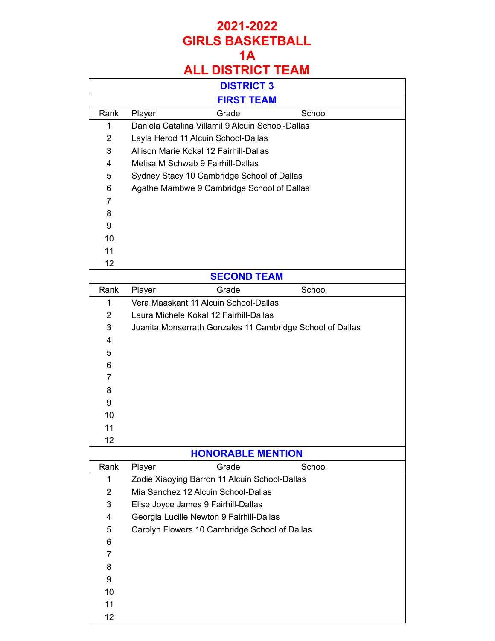## **1A**

|                | <b>DISTRICT 3</b>                                         |
|----------------|-----------------------------------------------------------|
|                | <b>FIRST TEAM</b>                                         |
| Rank           | Grade<br>School<br>Player                                 |
| 1              | Daniela Catalina Villamil 9 Alcuin School-Dallas          |
| $\overline{2}$ | Layla Herod 11 Alcuin School-Dallas                       |
| 3              | Allison Marie Kokal 12 Fairhill-Dallas                    |
| 4              | Melisa M Schwab 9 Fairhill-Dallas                         |
| 5              | Sydney Stacy 10 Cambridge School of Dallas                |
| 6              | Agathe Mambwe 9 Cambridge School of Dallas                |
| 7              |                                                           |
| 8              |                                                           |
| 9              |                                                           |
| 10             |                                                           |
| 11             |                                                           |
| 12             |                                                           |
|                | <b>SECOND TEAM</b>                                        |
| Rank           | School<br>Player<br>Grade                                 |
| 1              | Vera Maaskant 11 Alcuin School-Dallas                     |
| $\overline{2}$ | Laura Michele Kokal 12 Fairhill-Dallas                    |
| 3              | Juanita Monserrath Gonzales 11 Cambridge School of Dallas |
| 4              |                                                           |
| 5              |                                                           |
| 6              |                                                           |
| 7              |                                                           |
| 8              |                                                           |
| 9              |                                                           |
| 10             |                                                           |
| 11             |                                                           |
| 12             |                                                           |
|                | <b>HONORABLE MENTION</b>                                  |
| Rank           | Grade<br>School<br>Player                                 |
| 1              | Zodie Xiaoying Barron 11 Alcuin School-Dallas             |
| $\overline{2}$ | Mia Sanchez 12 Alcuin School-Dallas                       |
| 3              | Elise Joyce James 9 Fairhill-Dallas                       |
| 4              | Georgia Lucille Newton 9 Fairhill-Dallas                  |
| 5              | Carolyn Flowers 10 Cambridge School of Dallas             |
| 6              |                                                           |
| 7              |                                                           |
| 8              |                                                           |
| 9              |                                                           |
| 10             |                                                           |
| 11             |                                                           |
| 12             |                                                           |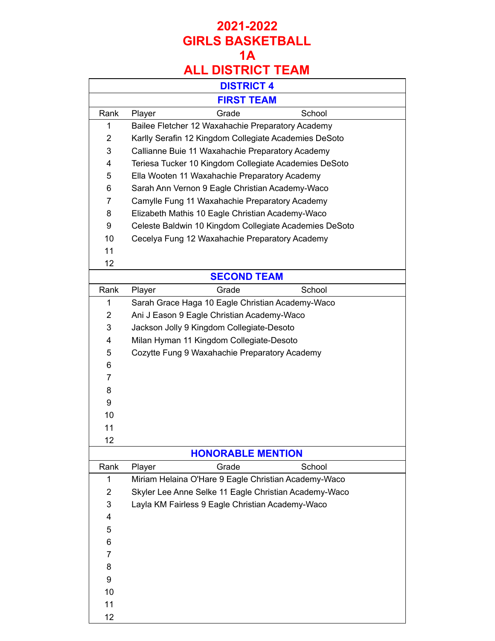## **ALL DISTRICT TEAM**

|                | <b>DISTRICT 4</b>                                      |
|----------------|--------------------------------------------------------|
|                | <b>FIRST TEAM</b>                                      |
| Rank           | Grade<br>School<br>Player                              |
| 1              | Bailee Fletcher 12 Waxahachie Preparatory Academy      |
| $\overline{2}$ | Karlly Serafin 12 Kingdom Collegiate Academies DeSoto  |
| 3              | Callianne Buie 11 Waxahachie Preparatory Academy       |
| 4              | Teriesa Tucker 10 Kingdom Collegiate Academies DeSoto  |
| 5              | Ella Wooten 11 Waxahachie Preparatory Academy          |
| 6              | Sarah Ann Vernon 9 Eagle Christian Academy-Waco        |
| $\overline{7}$ | Camylle Fung 11 Waxahachie Preparatory Academy         |
| 8              | Elizabeth Mathis 10 Eagle Christian Academy-Waco       |
| 9              | Celeste Baldwin 10 Kingdom Collegiate Academies DeSoto |
| 10             | Cecelya Fung 12 Waxahachie Preparatory Academy         |
| 11             |                                                        |
| 12             |                                                        |
|                | <b>SECOND TEAM</b>                                     |
| Rank           | Grade<br>School<br>Player                              |
| 1              | Sarah Grace Haga 10 Eagle Christian Academy-Waco       |
| 2              | Ani J Eason 9 Eagle Christian Academy-Waco             |
| 3              | Jackson Jolly 9 Kingdom Collegiate-Desoto              |
| 4              | Milan Hyman 11 Kingdom Collegiate-Desoto               |
| 5              | Cozytte Fung 9 Waxahachie Preparatory Academy          |
| 6              |                                                        |
| $\overline{7}$ |                                                        |
| 8              |                                                        |
| 9              |                                                        |
| 10             |                                                        |
| 11             |                                                        |
| 12             |                                                        |
|                | <b>HONORABLE MENTION</b>                               |
| Rank           | Grade<br>School<br>Player                              |
| 1              | Miriam Helaina O'Hare 9 Eagle Christian Academy-Waco   |
| $\overline{2}$ | Skyler Lee Anne Selke 11 Eagle Christian Academy-Waco  |
| 3              | Layla KM Fairless 9 Eagle Christian Academy-Waco       |
| 4              |                                                        |
| 5              |                                                        |
| 6              |                                                        |
| 7              |                                                        |
| 8              |                                                        |
| 9              |                                                        |
| 10             |                                                        |
| 11             |                                                        |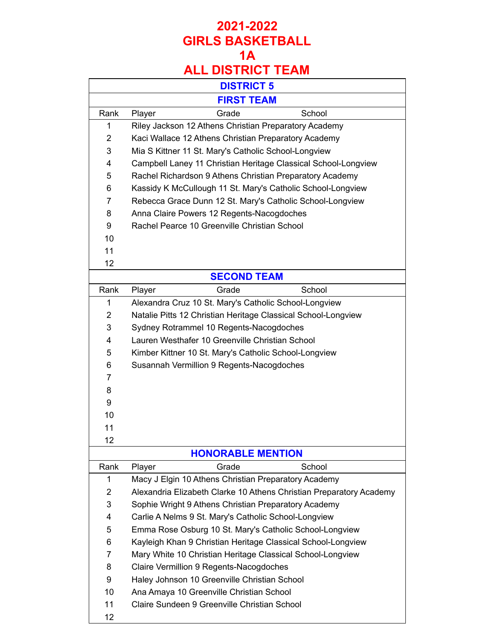|                | <b>DISTRICT 5</b>                                                   |
|----------------|---------------------------------------------------------------------|
|                | <b>FIRST TEAM</b>                                                   |
| Rank           | Grade<br>School<br>Player                                           |
| 1              | Riley Jackson 12 Athens Christian Preparatory Academy               |
| $\overline{2}$ | Kaci Wallace 12 Athens Christian Preparatory Academy                |
| 3              | Mia S Kittner 11 St. Mary's Catholic School-Longview                |
| 4              | Campbell Laney 11 Christian Heritage Classical School-Longview      |
| 5              | Rachel Richardson 9 Athens Christian Preparatory Academy            |
| 6              | Kassidy K McCullough 11 St. Mary's Catholic School-Longview         |
| 7              | Rebecca Grace Dunn 12 St. Mary's Catholic School-Longview           |
| 8              | Anna Claire Powers 12 Regents-Nacogdoches                           |
| 9              | Rachel Pearce 10 Greenville Christian School                        |
| 10             |                                                                     |
| 11             |                                                                     |
| 12             |                                                                     |
|                | <b>SECOND TEAM</b>                                                  |
| Rank           | School<br>Player<br>Grade                                           |
| 1              | Alexandra Cruz 10 St. Mary's Catholic School-Longview               |
| $\overline{2}$ | Natalie Pitts 12 Christian Heritage Classical School-Longview       |
| 3              | Sydney Rotrammel 10 Regents-Nacogdoches                             |
| 4              | Lauren Westhafer 10 Greenville Christian School                     |
| 5              | Kimber Kittner 10 St. Mary's Catholic School-Longview               |
| 6              | Susannah Vermillion 9 Regents-Nacogdoches                           |
| 7              |                                                                     |
| 8              |                                                                     |
| 9              |                                                                     |
| 10             |                                                                     |
| 11             |                                                                     |
| 12             |                                                                     |
|                | <b>HONORABLE MENTION</b>                                            |
| Rank           | Grade<br>School<br>Player                                           |
| 1              | Macy J Elgin 10 Athens Christian Preparatory Academy                |
| $\overline{2}$ | Alexandria Elizabeth Clarke 10 Athens Christian Preparatory Academy |
| 3              | Sophie Wright 9 Athens Christian Preparatory Academy                |
| 4              | Carlie A Nelms 9 St. Mary's Catholic School-Longview                |
| 5              | Emma Rose Osburg 10 St. Mary's Catholic School-Longview             |
| 6              | Kayleigh Khan 9 Christian Heritage Classical School-Longview        |
| $\overline{7}$ | Mary White 10 Christian Heritage Classical School-Longview          |
| 8              | Claire Vermillion 9 Regents-Nacogdoches                             |
| 9              | Haley Johnson 10 Greenville Christian School                        |
| 10             | Ana Amaya 10 Greenville Christian School                            |
| 11             | Claire Sundeen 9 Greenville Christian School                        |
| 12             |                                                                     |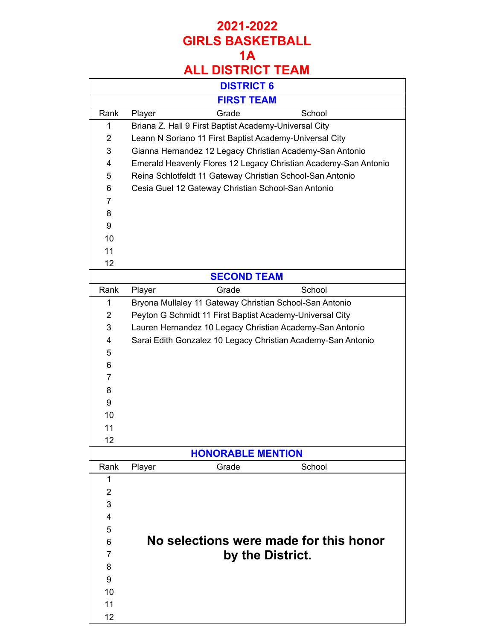|                | <b>DISTRICT 6</b>                                               |
|----------------|-----------------------------------------------------------------|
|                | <b>FIRST TEAM</b>                                               |
| Rank           | Grade<br>School<br>Player                                       |
| 1              | Briana Z. Hall 9 First Baptist Academy-Universal City           |
| $\overline{2}$ | Leann N Soriano 11 First Baptist Academy-Universal City         |
| 3              | Gianna Hernandez 12 Legacy Christian Academy-San Antonio        |
| 4              | Emerald Heavenly Flores 12 Legacy Christian Academy-San Antonio |
| 5              | Reina Schlotfeldt 11 Gateway Christian School-San Antonio       |
| 6              | Cesia Guel 12 Gateway Christian School-San Antonio              |
| $\overline{7}$ |                                                                 |
| 8              |                                                                 |
| 9              |                                                                 |
| 10             |                                                                 |
| 11             |                                                                 |
| 12             |                                                                 |
|                | <b>SECOND TEAM</b>                                              |
| Rank           | Grade<br>School<br>Player                                       |
| 1              | Bryona Mullaley 11 Gateway Christian School-San Antonio         |
| $\overline{2}$ | Peyton G Schmidt 11 First Baptist Academy-Universal City        |
| 3              | Lauren Hernandez 10 Legacy Christian Academy-San Antonio        |
| 4              | Sarai Edith Gonzalez 10 Legacy Christian Academy-San Antonio    |
| 5              |                                                                 |
| 6              |                                                                 |
| $\overline{7}$ |                                                                 |
| 8              |                                                                 |
| 9              |                                                                 |
| 10             |                                                                 |
| 11             |                                                                 |
| 12             |                                                                 |
|                | <b>HONORABLE MENTION</b>                                        |
| Rank           | Grade<br>School<br>Player                                       |
| 1              |                                                                 |
| $\overline{2}$ |                                                                 |
| 3              |                                                                 |
| 4              |                                                                 |
| 5              |                                                                 |
| 6              | No selections were made for this honor                          |
| 7              | by the District.                                                |
| 8              |                                                                 |
| 9              |                                                                 |
| 10             |                                                                 |
| 11             |                                                                 |
| 12             |                                                                 |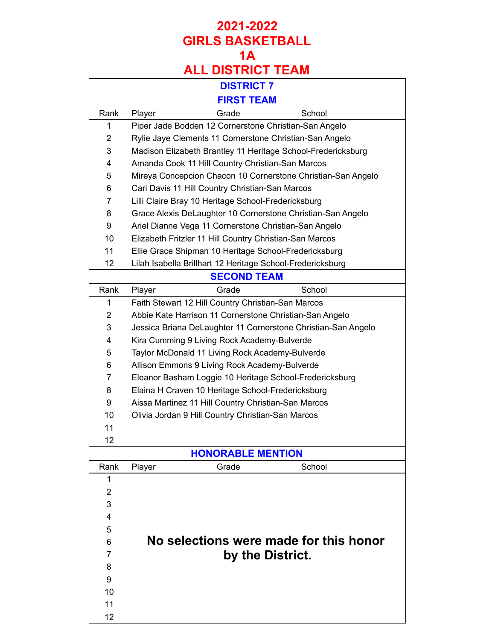## **ALL DISTRICT TEAM**

|                | <b>DISTRICT 7</b>                                             |
|----------------|---------------------------------------------------------------|
|                | <b>FIRST TEAM</b>                                             |
| Rank           | Grade<br>School<br>Player                                     |
| 1              | Piper Jade Bodden 12 Cornerstone Christian-San Angelo         |
| $\overline{2}$ | Rylie Jaye Clements 11 Cornerstone Christian-San Angelo       |
| 3              | Madison Elizabeth Brantley 11 Heritage School-Fredericksburg  |
| 4              | Amanda Cook 11 Hill Country Christian-San Marcos              |
| 5              | Mireya Concepcion Chacon 10 Cornerstone Christian-San Angelo  |
| 6              | Cari Davis 11 Hill Country Christian-San Marcos               |
| 7              | Lilli Claire Bray 10 Heritage School-Fredericksburg           |
| 8              | Grace Alexis DeLaughter 10 Cornerstone Christian-San Angelo   |
| 9              | Ariel Dianne Vega 11 Cornerstone Christian-San Angelo         |
| 10             | Elizabeth Fritzler 11 Hill Country Christian-San Marcos       |
| 11             | Ellie Grace Shipman 10 Heritage School-Fredericksburg         |
| 12             | Lilah Isabella Brillhart 12 Heritage School-Fredericksburg    |
|                | <b>SECOND TEAM</b>                                            |
| Rank           | Grade<br>School<br>Player                                     |
| 1              | Faith Stewart 12 Hill Country Christian-San Marcos            |
| 2              | Abbie Kate Harrison 11 Cornerstone Christian-San Angelo       |
| 3              | Jessica Briana DeLaughter 11 Cornerstone Christian-San Angelo |
| 4              | Kira Cumming 9 Living Rock Academy-Bulverde                   |
| 5              | Taylor McDonald 11 Living Rock Academy-Bulverde               |
| 6              | Allison Emmons 9 Living Rock Academy-Bulverde                 |
| 7              | Eleanor Basham Loggie 10 Heritage School-Fredericksburg       |
| 8              | Elaina H Craven 10 Heritage School-Fredericksburg             |
| 9              | Aissa Martinez 11 Hill Country Christian-San Marcos           |
| 10             | Olivia Jordan 9 Hill Country Christian-San Marcos             |
| 11             |                                                               |
| 12             |                                                               |
|                | <b>HONORABLE MENTION</b>                                      |
| Rank           | Grade<br>School<br>Player                                     |
| 1              |                                                               |
| $\overline{2}$ |                                                               |
| 3              |                                                               |
| 4              |                                                               |
| 5              |                                                               |
| 6              | No selections were made for this honor                        |
| 7              | by the District.                                              |
| 8              |                                                               |
| 9              |                                                               |
| 10             |                                                               |
| 11             |                                                               |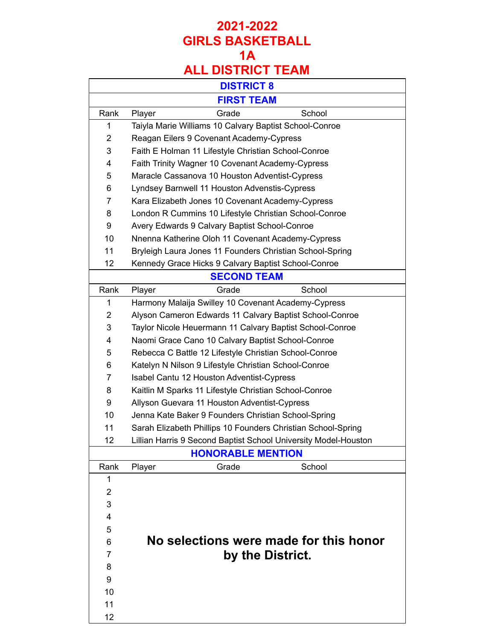|                | <b>DISTRICT 8</b>                                               |  |
|----------------|-----------------------------------------------------------------|--|
|                | <b>FIRST TEAM</b>                                               |  |
| Rank           | Grade<br>School<br>Player                                       |  |
| 1              | Taiyla Marie Williams 10 Calvary Baptist School-Conroe          |  |
| $\overline{2}$ | Reagan Eilers 9 Covenant Academy-Cypress                        |  |
| 3              | Faith E Holman 11 Lifestyle Christian School-Conroe             |  |
| 4              | Faith Trinity Wagner 10 Covenant Academy-Cypress                |  |
| 5              | Maracle Cassanova 10 Houston Adventist-Cypress                  |  |
| 6              | Lyndsey Barnwell 11 Houston Advenstis-Cypress                   |  |
| $\overline{7}$ | Kara Elizabeth Jones 10 Covenant Academy-Cypress                |  |
| 8              | London R Cummins 10 Lifestyle Christian School-Conroe           |  |
| 9              | Avery Edwards 9 Calvary Baptist School-Conroe                   |  |
| 10             | Nnenna Katherine Oloh 11 Covenant Academy-Cypress               |  |
| 11             | Bryleigh Laura Jones 11 Founders Christian School-Spring        |  |
| 12             | Kennedy Grace Hicks 9 Calvary Baptist School-Conroe             |  |
|                | <b>SECOND TEAM</b>                                              |  |
| Rank           | School<br>Player<br>Grade                                       |  |
| 1              | Harmony Malaija Swilley 10 Covenant Academy-Cypress             |  |
| $\overline{2}$ | Alyson Cameron Edwards 11 Calvary Baptist School-Conroe         |  |
| 3              | Taylor Nicole Heuermann 11 Calvary Baptist School-Conroe        |  |
| 4              | Naomi Grace Cano 10 Calvary Baptist School-Conroe               |  |
| 5              | Rebecca C Battle 12 Lifestyle Christian School-Conroe           |  |
| 6              | Katelyn N Nilson 9 Lifestyle Christian School-Conroe            |  |
| $\overline{7}$ | Isabel Cantu 12 Houston Adventist-Cypress                       |  |
| 8              | Kaitlin M Sparks 11 Lifestyle Christian School-Conroe           |  |
| 9              | Allyson Guevara 11 Houston Adventist-Cypress                    |  |
| 10             | Jenna Kate Baker 9 Founders Christian School-Spring             |  |
| 11             | Sarah Elizabeth Phillips 10 Founders Christian School-Spring    |  |
| 12             | Lillian Harris 9 Second Baptist School University Model-Houston |  |
|                | <b>HONORABLE MENTION</b>                                        |  |
| Rank           | Grade<br>School<br>Player                                       |  |
| 1              |                                                                 |  |
| $\overline{2}$ |                                                                 |  |
| 3              |                                                                 |  |
| 4              |                                                                 |  |
| 5              |                                                                 |  |
| 6              | No selections were made for this honor                          |  |
| 7              | by the District.                                                |  |
| 8              |                                                                 |  |
| 9              |                                                                 |  |
| 10             |                                                                 |  |
| 11             |                                                                 |  |
| 12             |                                                                 |  |